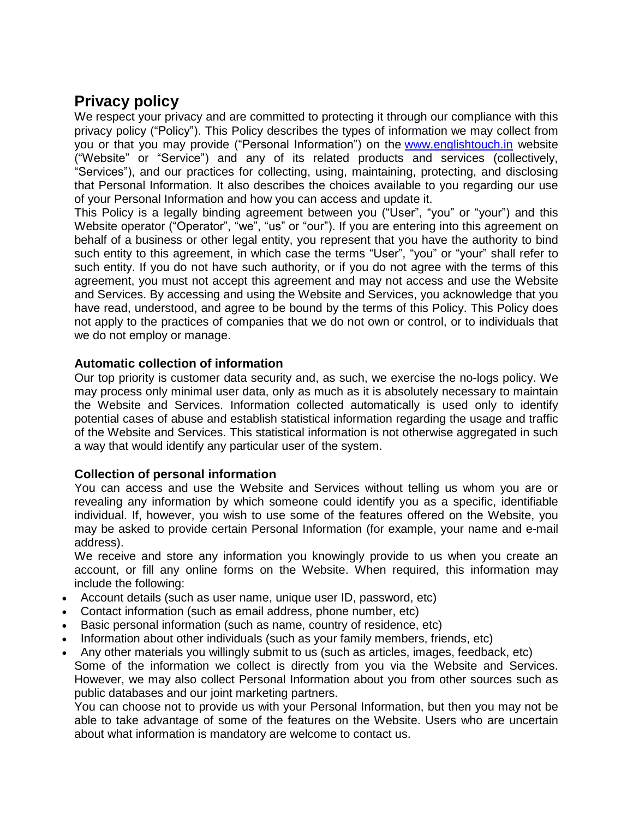# **Privacy policy**

We respect your privacy and are committed to protecting it through our compliance with this privacy policy ("Policy"). This Policy describes the types of information we may collect from you or that you may provide ("Personal Information") on the [www.englishtouch.in](http://www.englishtouch.in/) website ("Website" or "Service") and any of its related products and services (collectively, "Services"), and our practices for collecting, using, maintaining, protecting, and disclosing that Personal Information. It also describes the choices available to you regarding our use of your Personal Information and how you can access and update it.

This Policy is a legally binding agreement between you ("User", "you" or "your") and this Website operator ("Operator", "we", "us" or "our"). If you are entering into this agreement on behalf of a business or other legal entity, you represent that you have the authority to bind such entity to this agreement, in which case the terms "User", "you" or "your" shall refer to such entity. If you do not have such authority, or if you do not agree with the terms of this agreement, you must not accept this agreement and may not access and use the Website and Services. By accessing and using the Website and Services, you acknowledge that you have read, understood, and agree to be bound by the terms of this Policy. This Policy does not apply to the practices of companies that we do not own or control, or to individuals that we do not employ or manage.

# **Automatic collection of information**

Our top priority is customer data security and, as such, we exercise the no-logs policy. We may process only minimal user data, only as much as it is absolutely necessary to maintain the Website and Services. Information collected automatically is used only to identify potential cases of abuse and establish statistical information regarding the usage and traffic of the Website and Services. This statistical information is not otherwise aggregated in such a way that would identify any particular user of the system.

# **Collection of personal information**

You can access and use the Website and Services without telling us whom you are or revealing any information by which someone could identify you as a specific, identifiable individual. If, however, you wish to use some of the features offered on the Website, you may be asked to provide certain Personal Information (for example, your name and e-mail address).

We receive and store any information you knowingly provide to us when you create an account, or fill any online forms on the Website. When required, this information may include the following:

- Account details (such as user name, unique user ID, password, etc)
- Contact information (such as email address, phone number, etc)
- Basic personal information (such as name, country of residence, etc)
- Information about other individuals (such as your family members, friends, etc)
- Any other materials you willingly submit to us (such as articles, images, feedback, etc) Some of the information we collect is directly from you via the Website and Services. However, we may also collect Personal Information about you from other sources such as public databases and our joint marketing partners.

You can choose not to provide us with your Personal Information, but then you may not be able to take advantage of some of the features on the Website. Users who are uncertain about what information is mandatory are welcome to contact us.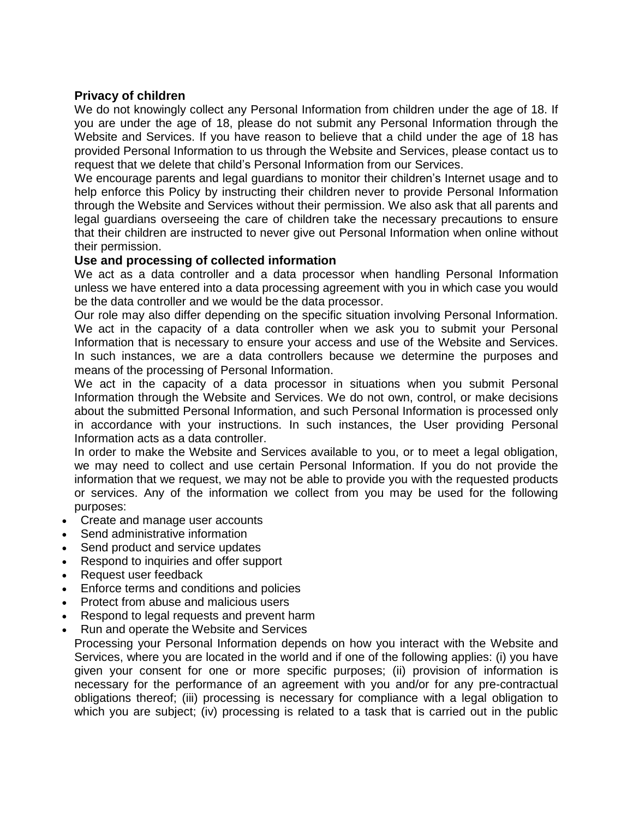# **Privacy of children**

We do not knowingly collect any Personal Information from children under the age of 18. If you are under the age of 18, please do not submit any Personal Information through the Website and Services. If you have reason to believe that a child under the age of 18 has provided Personal Information to us through the Website and Services, please contact us to request that we delete that child's Personal Information from our Services.

We encourage parents and legal guardians to monitor their children's Internet usage and to help enforce this Policy by instructing their children never to provide Personal Information through the Website and Services without their permission. We also ask that all parents and legal guardians overseeing the care of children take the necessary precautions to ensure that their children are instructed to never give out Personal Information when online without their permission.

# **Use and processing of collected information**

We act as a data controller and a data processor when handling Personal Information unless we have entered into a data processing agreement with you in which case you would be the data controller and we would be the data processor.

Our role may also differ depending on the specific situation involving Personal Information. We act in the capacity of a data controller when we ask you to submit your Personal Information that is necessary to ensure your access and use of the Website and Services. In such instances, we are a data controllers because we determine the purposes and means of the processing of Personal Information.

We act in the capacity of a data processor in situations when you submit Personal Information through the Website and Services. We do not own, control, or make decisions about the submitted Personal Information, and such Personal Information is processed only in accordance with your instructions. In such instances, the User providing Personal Information acts as a data controller.

In order to make the Website and Services available to you, or to meet a legal obligation, we may need to collect and use certain Personal Information. If you do not provide the information that we request, we may not be able to provide you with the requested products or services. Any of the information we collect from you may be used for the following purposes:

- Create and manage user accounts
- Send administrative information
- Send product and service updates
- Respond to inquiries and offer support
- Request user feedback
- Enforce terms and conditions and policies
- Protect from abuse and malicious users
- Respond to legal requests and prevent harm
- Run and operate the Website and Services

Processing your Personal Information depends on how you interact with the Website and Services, where you are located in the world and if one of the following applies: (i) you have given your consent for one or more specific purposes; (ii) provision of information is necessary for the performance of an agreement with you and/or for any pre-contractual obligations thereof; (iii) processing is necessary for compliance with a legal obligation to which you are subject; (iv) processing is related to a task that is carried out in the public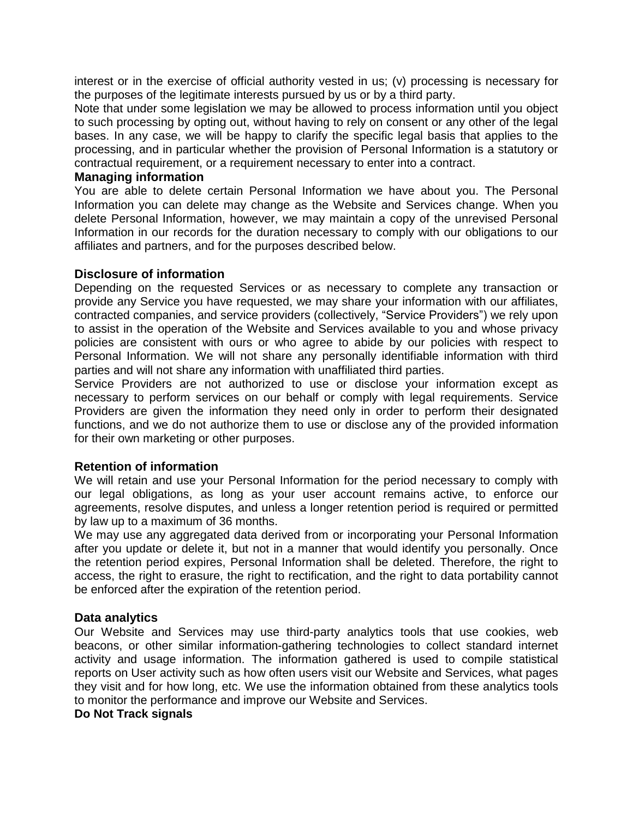interest or in the exercise of official authority vested in us; (v) processing is necessary for the purposes of the legitimate interests pursued by us or by a third party.

Note that under some legislation we may be allowed to process information until you object to such processing by opting out, without having to rely on consent or any other of the legal bases. In any case, we will be happy to clarify the specific legal basis that applies to the processing, and in particular whether the provision of Personal Information is a statutory or contractual requirement, or a requirement necessary to enter into a contract.

#### **Managing information**

You are able to delete certain Personal Information we have about you. The Personal Information you can delete may change as the Website and Services change. When you delete Personal Information, however, we may maintain a copy of the unrevised Personal Information in our records for the duration necessary to comply with our obligations to our affiliates and partners, and for the purposes described below.

#### **Disclosure of information**

Depending on the requested Services or as necessary to complete any transaction or provide any Service you have requested, we may share your information with our affiliates, contracted companies, and service providers (collectively, "Service Providers") we rely upon to assist in the operation of the Website and Services available to you and whose privacy policies are consistent with ours or who agree to abide by our policies with respect to Personal Information. We will not share any personally identifiable information with third parties and will not share any information with unaffiliated third parties.

Service Providers are not authorized to use or disclose your information except as necessary to perform services on our behalf or comply with legal requirements. Service Providers are given the information they need only in order to perform their designated functions, and we do not authorize them to use or disclose any of the provided information for their own marketing or other purposes.

#### **Retention of information**

We will retain and use your Personal Information for the period necessary to comply with our legal obligations, as long as your user account remains active, to enforce our agreements, resolve disputes, and unless a longer retention period is required or permitted by law up to a maximum of 36 months.

We may use any aggregated data derived from or incorporating your Personal Information after you update or delete it, but not in a manner that would identify you personally. Once the retention period expires, Personal Information shall be deleted. Therefore, the right to access, the right to erasure, the right to rectification, and the right to data portability cannot be enforced after the expiration of the retention period.

#### **Data analytics**

Our Website and Services may use third-party analytics tools that use cookies, web beacons, or other similar information-gathering technologies to collect standard internet activity and usage information. The information gathered is used to compile statistical reports on User activity such as how often users visit our Website and Services, what pages they visit and for how long, etc. We use the information obtained from these analytics tools to monitor the performance and improve our Website and Services.

#### **Do Not Track signals**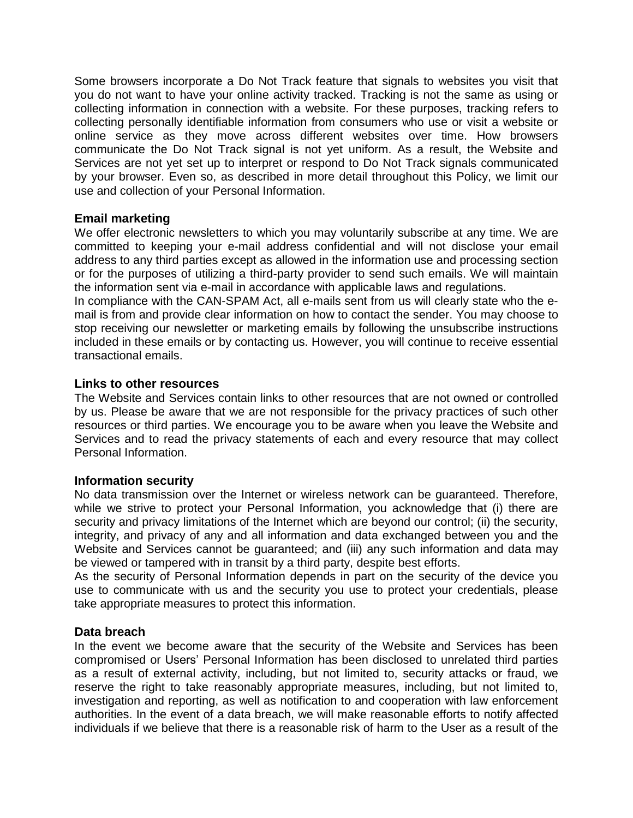Some browsers incorporate a Do Not Track feature that signals to websites you visit that you do not want to have your online activity tracked. Tracking is not the same as using or collecting information in connection with a website. For these purposes, tracking refers to collecting personally identifiable information from consumers who use or visit a website or online service as they move across different websites over time. How browsers communicate the Do Not Track signal is not yet uniform. As a result, the Website and Services are not yet set up to interpret or respond to Do Not Track signals communicated by your browser. Even so, as described in more detail throughout this Policy, we limit our use and collection of your Personal Information.

# **Email marketing**

We offer electronic newsletters to which you may voluntarily subscribe at any time. We are committed to keeping your e-mail address confidential and will not disclose your email address to any third parties except as allowed in the information use and processing section or for the purposes of utilizing a third-party provider to send such emails. We will maintain the information sent via e-mail in accordance with applicable laws and regulations.

In compliance with the CAN-SPAM Act, all e-mails sent from us will clearly state who the email is from and provide clear information on how to contact the sender. You may choose to stop receiving our newsletter or marketing emails by following the unsubscribe instructions included in these emails or by contacting us. However, you will continue to receive essential transactional emails.

#### **Links to other resources**

The Website and Services contain links to other resources that are not owned or controlled by us. Please be aware that we are not responsible for the privacy practices of such other resources or third parties. We encourage you to be aware when you leave the Website and Services and to read the privacy statements of each and every resource that may collect Personal Information.

#### **Information security**

No data transmission over the Internet or wireless network can be guaranteed. Therefore, while we strive to protect your Personal Information, you acknowledge that (i) there are security and privacy limitations of the Internet which are beyond our control; (ii) the security, integrity, and privacy of any and all information and data exchanged between you and the Website and Services cannot be guaranteed; and (iii) any such information and data may be viewed or tampered with in transit by a third party, despite best efforts.

As the security of Personal Information depends in part on the security of the device you use to communicate with us and the security you use to protect your credentials, please take appropriate measures to protect this information.

#### **Data breach**

In the event we become aware that the security of the Website and Services has been compromised or Users' Personal Information has been disclosed to unrelated third parties as a result of external activity, including, but not limited to, security attacks or fraud, we reserve the right to take reasonably appropriate measures, including, but not limited to, investigation and reporting, as well as notification to and cooperation with law enforcement authorities. In the event of a data breach, we will make reasonable efforts to notify affected individuals if we believe that there is a reasonable risk of harm to the User as a result of the